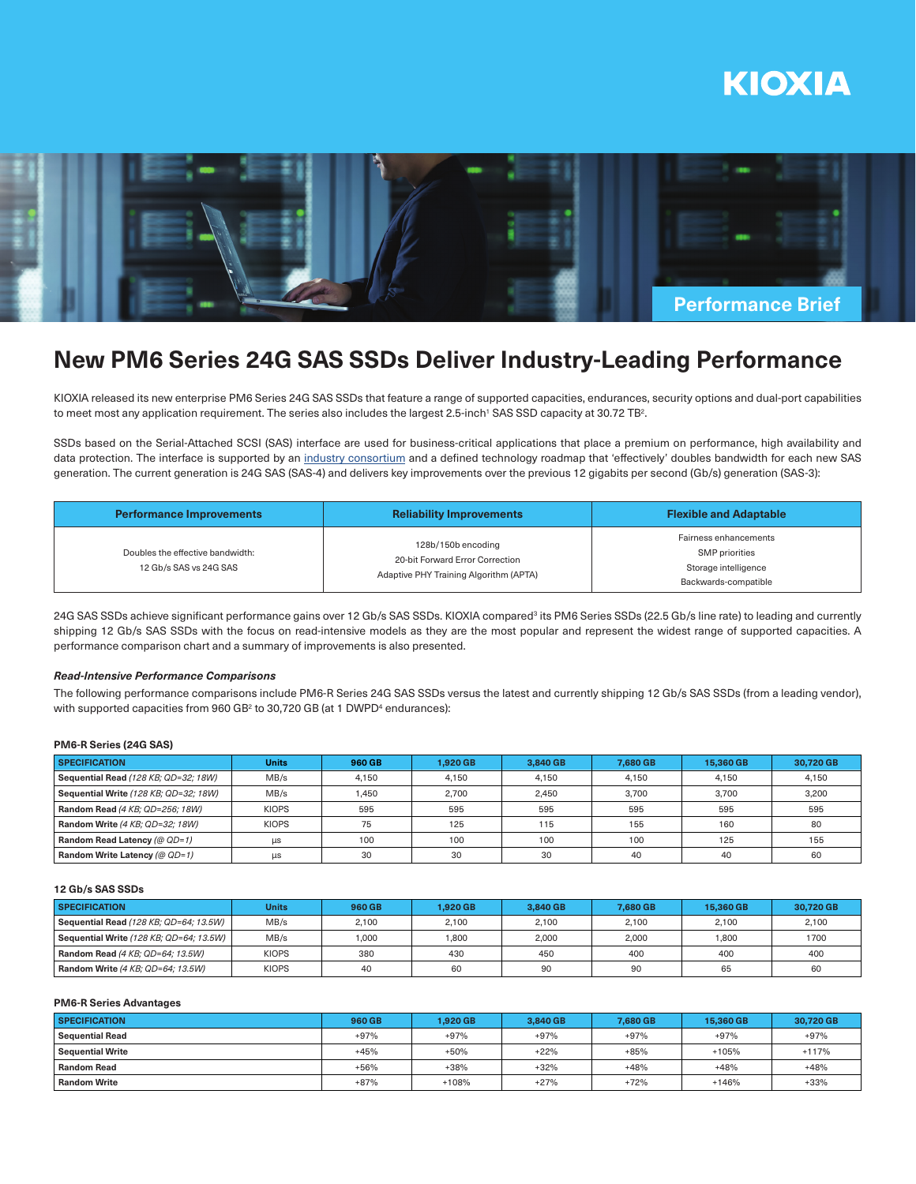



# **New PM6 Series 24G SAS SSDs Deliver Industry-Leading Performance**

KIOXIA released its new enterprise PM6 Series 24G SAS SSDs that feature a range of supported capacities, endurances, security options and dual-port capabilities to meet most any application requirement. The series also includes the largest 2.5-inch<sup>1</sup> SAS SSD capacity at 30.72 TB<sup>2</sup>.

SSDs based on the Serial-Attached SCSI (SAS) interface are used for business-critical applications that place a premium on performance, high availability and data protection. The interface is supported by an industry consortium and a defined technology roadmap that 'effectively' doubles bandwidth for each new SAS generation. The current generation is 24G SAS (SAS-4) and delivers key improvements over the previous 12 gigabits per second (Gb/s) generation (SAS-3):

| Performance Improvements                                   | <b>Reliability Improvements</b>                                                                 | <b>Flexible and Adaptable</b>                                                           |  |  |
|------------------------------------------------------------|-------------------------------------------------------------------------------------------------|-----------------------------------------------------------------------------------------|--|--|
| Doubles the effective bandwidth:<br>12 Gb/s SAS vs 24G SAS | 128b/150b encoding<br>20-bit Forward Error Correction<br>Adaptive PHY Training Algorithm (APTA) | Fairness enhancements<br>SMP priorities<br>Storage intelligence<br>Backwards-compatible |  |  |

24G SAS SSDs achieve significant performance gains over 12 Gb/s SAS SSDs. KIOXIA compared<sup>3</sup> its PM6 Series SSDs (22.5 Gb/s line rate) to leading and currently shipping 12 Gb/s SAS SSDs with the focus on read-intensive models as they are the most popular and represent the widest range of supported capacities. A performance comparison chart and a summary of improvements is also presented.

### *Read-Intensive Performance Comparisons*

The following performance comparisons include PM6-R Series 24G SAS SSDs versus the latest and currently shipping 12 Gb/s SAS SSDs (from a leading vendor), with supported capacities from 960 GB<sup>2</sup> to 30,720 GB (at 1 DWPD<sup>4</sup> endurances):

#### **PM6-R Series (24G SAS)**

| <b>SPECIFICATION</b>                  | <b>Units</b> | 960 GB | 1.920 GB | 3.840 GB | 7.680 GB | 15.360 GB | 30.720 GB |
|---------------------------------------|--------------|--------|----------|----------|----------|-----------|-----------|
| Sequential Read (128 KB; QD=32; 18W)  | MB/s         | 4.150  | 4.150    | 4.150    | 4.150    | 4.150     | 4.150     |
| Sequential Write (128 KB; QD=32; 18W) | MB/s         | 1.450  | 2.700    | 2.450    | 3.700    | 3.700     | 3.200     |
| Random Read (4 KB; QD=256; 18W)       | <b>KIOPS</b> | 595    | 595      | 595      | 595      | 595       | 595       |
| Random Write (4 KB; QD=32; 18W)       | <b>KIOPS</b> | 75     | 125      | 115      | 155      | 160       | 80        |
| Random Read Latency (@ QD=1)          | $\mu s$      | 100    | 100      | 100      | 100      | 125       | 155       |
| <b>Random Write Latency (@ QD=1)</b>  | μs           | 30     | 30       | 30       | 40       | 40        | 60        |

# **12 Gb/s SAS SSDs**

| <b>SPECIFICATION</b>                    | Units        | <b>960 GB</b> | <b>1.920 GB</b> | 3.840 GB | 7.680 GB | 15.360 GB | 30.720 GB |
|-----------------------------------------|--------------|---------------|-----------------|----------|----------|-----------|-----------|
| Sequential Read (128 KB; QD=64; 13.5W)  | MB/s         | 2.100         | 2,100           | 2,100    | 2.100    | 2.100     | 2,100     |
| Sequential Write (128 KB; QD=64; 13.5W) | MB/s         | 1.000         | .800            | 2.000    | 2.000    | 1.800     | 1700      |
| Random Read (4 KB: QD=64: 13.5W)        | <b>KIOPS</b> | 380           | 430             | 450      | 400      | 400       | 400       |
| Random Write (4 KB; QD=64; 13.5W)       | <b>KIOPS</b> | 40            | 60              | 90       | 90       | 65        | 60        |

## **PM6-R Series Advantages**

| <b>SPECIFICATION</b>    | 960 GB | <b>1.920 GB</b> | 3.840 GB | 7.680 GB | 15.360 GB | 30.720 GB |
|-------------------------|--------|-----------------|----------|----------|-----------|-----------|
| <b>Sequential Read</b>  | $+97%$ | $+97%$          | $+97%$   | $+97%$   | $+97%$    | $+97%$    |
| <b>Sequential Write</b> | $+45%$ | $+50%$          | $+22%$   | $+85%$   | $+105%$   | $+117%$   |
| <b>Random Read</b>      | $+56%$ | +38%            | +32%     | $+48%$   | $+48%$    | $+48%$    |
| <b>Random Write</b>     | $+87%$ | $+108%$         | $+27%$   | $+72%$   | $+146%$   | $+33%$    |